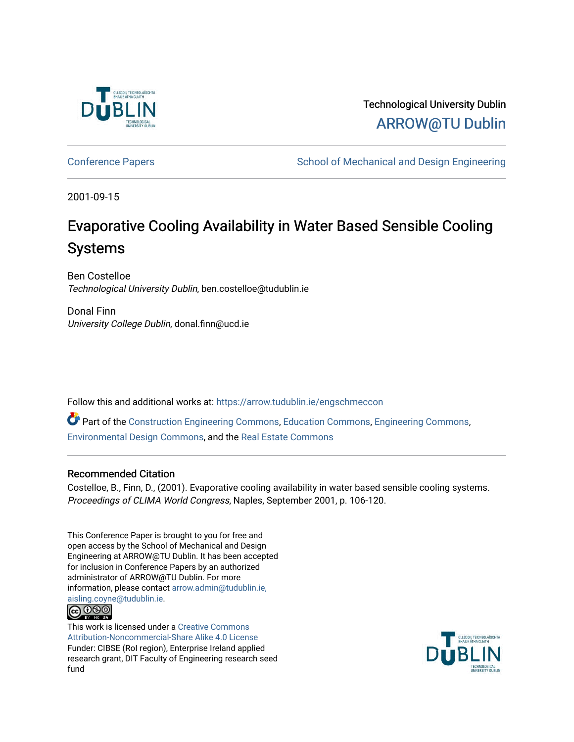

Technological University Dublin [ARROW@TU Dublin](https://arrow.tudublin.ie/) 

[Conference Papers](https://arrow.tudublin.ie/engschmeccon) **School of Mechanical and Design Engineering** School of Mechanical and Design Engineering

2001-09-15

# Evaporative Cooling Availability in Water Based Sensible Cooling Systems

Ben Costelloe Technological University Dublin, ben.costelloe@tudublin.ie

Donal Finn University College Dublin, donal.finn@ucd.ie

Follow this and additional works at: [https://arrow.tudublin.ie/engschmeccon](https://arrow.tudublin.ie/engschmeccon?utm_source=arrow.tudublin.ie%2Fengschmeccon%2F66&utm_medium=PDF&utm_campaign=PDFCoverPages) 

Part of the [Construction Engineering Commons,](http://network.bepress.com/hgg/discipline/775?utm_source=arrow.tudublin.ie%2Fengschmeccon%2F66&utm_medium=PDF&utm_campaign=PDFCoverPages) [Education Commons](http://network.bepress.com/hgg/discipline/784?utm_source=arrow.tudublin.ie%2Fengschmeccon%2F66&utm_medium=PDF&utm_campaign=PDFCoverPages), [Engineering Commons](http://network.bepress.com/hgg/discipline/217?utm_source=arrow.tudublin.ie%2Fengschmeccon%2F66&utm_medium=PDF&utm_campaign=PDFCoverPages), [Environmental Design Commons](http://network.bepress.com/hgg/discipline/777?utm_source=arrow.tudublin.ie%2Fengschmeccon%2F66&utm_medium=PDF&utm_campaign=PDFCoverPages), and the [Real Estate Commons](http://network.bepress.com/hgg/discipline/641?utm_source=arrow.tudublin.ie%2Fengschmeccon%2F66&utm_medium=PDF&utm_campaign=PDFCoverPages) 

# Recommended Citation

Costelloe, B., Finn, D., (2001). Evaporative cooling availability in water based sensible cooling systems. Proceedings of CLIMA World Congress, Naples, September 2001, p. 106-120.

This Conference Paper is brought to you for free and open access by the School of Mechanical and Design Engineering at ARROW@TU Dublin. It has been accepted for inclusion in Conference Papers by an authorized administrator of ARROW@TU Dublin. For more information, please contact [arrow.admin@tudublin.ie,](mailto:arrow.admin@tudublin.ie,%20aisling.coyne@tudublin.ie)  [aisling.coyne@tudublin.ie.](mailto:arrow.admin@tudublin.ie,%20aisling.coyne@tudublin.ie)



This work is licensed under a [Creative Commons](http://creativecommons.org/licenses/by-nc-sa/4.0/) [Attribution-Noncommercial-Share Alike 4.0 License](http://creativecommons.org/licenses/by-nc-sa/4.0/) Funder: CIBSE (RoI region), Enterprise Ireland applied research grant, DIT Faculty of Engineering research seed fund

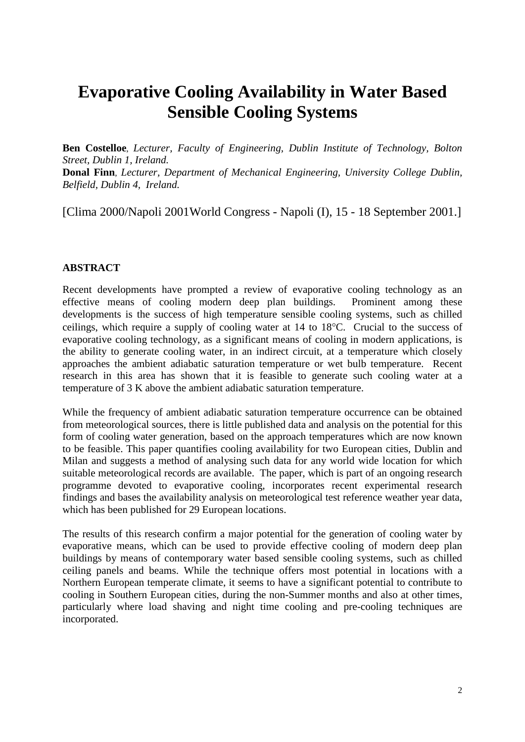# **Evaporative Cooling Availability in Water Based Sensible Cooling Systems**

**Ben Costelloe**, *Lecturer, Faculty of Engineering, Dublin Institute of Technology, Bolton Street, Dublin 1, Ireland.* **Donal Finn**, *Lecturer, Department of Mechanical Engineering, University College Dublin, Belfield, Dublin 4, Ireland.* 

[Clima 2000/Napoli 2001World Congress - Napoli (I), 15 - 18 September 2001.]

# **ABSTRACT**

Recent developments have prompted a review of evaporative cooling technology as an effective means of cooling modern deep plan buildings. Prominent among these developments is the success of high temperature sensible cooling systems, such as chilled ceilings, which require a supply of cooling water at 14 to 18°C. Crucial to the success of evaporative cooling technology, as a significant means of cooling in modern applications, is the ability to generate cooling water, in an indirect circuit, at a temperature which closely approaches the ambient adiabatic saturation temperature or wet bulb temperature. Recent research in this area has shown that it is feasible to generate such cooling water at a temperature of 3 K above the ambient adiabatic saturation temperature.

While the frequency of ambient adiabatic saturation temperature occurrence can be obtained from meteorological sources, there is little published data and analysis on the potential for this form of cooling water generation, based on the approach temperatures which are now known to be feasible. This paper quantifies cooling availability for two European cities, Dublin and Milan and suggests a method of analysing such data for any world wide location for which suitable meteorological records are available. The paper, which is part of an ongoing research programme devoted to evaporative cooling, incorporates recent experimental research findings and bases the availability analysis on meteorological test reference weather year data, which has been published for 29 European locations.

The results of this research confirm a major potential for the generation of cooling water by evaporative means, which can be used to provide effective cooling of modern deep plan buildings by means of contemporary water based sensible cooling systems, such as chilled ceiling panels and beams. While the technique offers most potential in locations with a Northern European temperate climate, it seems to have a significant potential to contribute to cooling in Southern European cities, during the non-Summer months and also at other times, particularly where load shaving and night time cooling and pre-cooling techniques are incorporated.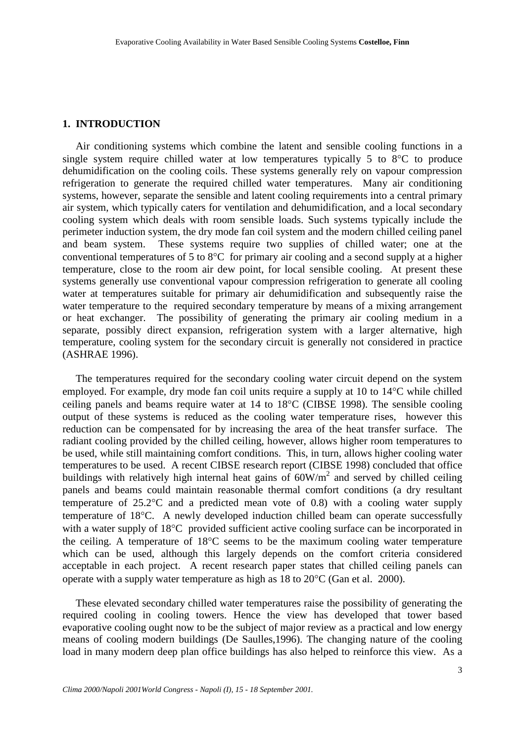#### **1. INTRODUCTION**

 Air conditioning systems which combine the latent and sensible cooling functions in a single system require chilled water at low temperatures typically 5 to 8°C to produce dehumidification on the cooling coils. These systems generally rely on vapour compression refrigeration to generate the required chilled water temperatures. Many air conditioning systems, however, separate the sensible and latent cooling requirements into a central primary air system, which typically caters for ventilation and dehumidification, and a local secondary cooling system which deals with room sensible loads. Such systems typically include the perimeter induction system, the dry mode fan coil system and the modern chilled ceiling panel and beam system. These systems require two supplies of chilled water; one at the conventional temperatures of 5 to 8°C for primary air cooling and a second supply at a higher temperature, close to the room air dew point, for local sensible cooling. At present these systems generally use conventional vapour compression refrigeration to generate all cooling water at temperatures suitable for primary air dehumidification and subsequently raise the water temperature to the required secondary temperature by means of a mixing arrangement or heat exchanger. The possibility of generating the primary air cooling medium in a separate, possibly direct expansion, refrigeration system with a larger alternative, high temperature, cooling system for the secondary circuit is generally not considered in practice (ASHRAE 1996).

 The temperatures required for the secondary cooling water circuit depend on the system employed. For example, dry mode fan coil units require a supply at 10 to 14°C while chilled ceiling panels and beams require water at 14 to 18°C (CIBSE 1998). The sensible cooling output of these systems is reduced as the cooling water temperature rises, however this reduction can be compensated for by increasing the area of the heat transfer surface. The radiant cooling provided by the chilled ceiling, however, allows higher room temperatures to be used, while still maintaining comfort conditions. This, in turn, allows higher cooling water temperatures to be used. A recent CIBSE research report (CIBSE 1998) concluded that office buildings with relatively high internal heat gains of  $60W/m<sup>2</sup>$  and served by chilled ceiling panels and beams could maintain reasonable thermal comfort conditions (a dry resultant temperature of 25.2°C and a predicted mean vote of 0.8) with a cooling water supply temperature of 18°C. A newly developed induction chilled beam can operate successfully with a water supply of 18<sup>o</sup>C provided sufficient active cooling surface can be incorporated in the ceiling. A temperature of 18°C seems to be the maximum cooling water temperature which can be used, although this largely depends on the comfort criteria considered acceptable in each project. A recent research paper states that chilled ceiling panels can operate with a supply water temperature as high as 18 to 20°C (Gan et al. 2000).

 These elevated secondary chilled water temperatures raise the possibility of generating the required cooling in cooling towers. Hence the view has developed that tower based evaporative cooling ought now to be the subject of major review as a practical and low energy means of cooling modern buildings (De Saulles,1996). The changing nature of the cooling load in many modern deep plan office buildings has also helped to reinforce this view. As a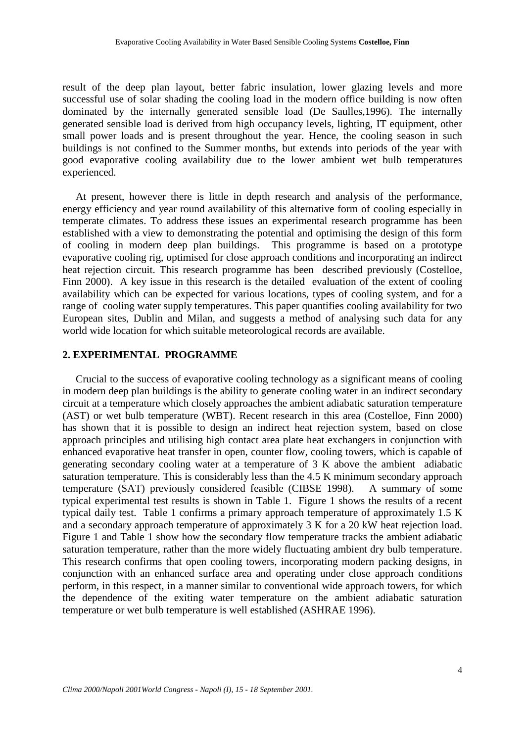result of the deep plan layout, better fabric insulation, lower glazing levels and more successful use of solar shading the cooling load in the modern office building is now often dominated by the internally generated sensible load (De Saulles,1996). The internally generated sensible load is derived from high occupancy levels, lighting, IT equipment, other small power loads and is present throughout the year. Hence, the cooling season in such buildings is not confined to the Summer months, but extends into periods of the year with good evaporative cooling availability due to the lower ambient wet bulb temperatures experienced.

 At present, however there is little in depth research and analysis of the performance, energy efficiency and year round availability of this alternative form of cooling especially in temperate climates. To address these issues an experimental research programme has been established with a view to demonstrating the potential and optimising the design of this form of cooling in modern deep plan buildings. This programme is based on a prototype evaporative cooling rig, optimised for close approach conditions and incorporating an indirect heat rejection circuit. This research programme has been described previously (Costelloe, Finn 2000). A key issue in this research is the detailed evaluation of the extent of cooling availability which can be expected for various locations, types of cooling system, and for a range of cooling water supply temperatures. This paper quantifies cooling availability for two European sites, Dublin and Milan, and suggests a method of analysing such data for any world wide location for which suitable meteorological records are available.

## **2. EXPERIMENTAL PROGRAMME**

 Crucial to the success of evaporative cooling technology as a significant means of cooling in modern deep plan buildings is the ability to generate cooling water in an indirect secondary circuit at a temperature which closely approaches the ambient adiabatic saturation temperature (AST) or wet bulb temperature (WBT). Recent research in this area (Costelloe, Finn 2000) has shown that it is possible to design an indirect heat rejection system, based on close approach principles and utilising high contact area plate heat exchangers in conjunction with enhanced evaporative heat transfer in open, counter flow, cooling towers, which is capable of generating secondary cooling water at a temperature of 3 K above the ambient adiabatic saturation temperature. This is considerably less than the 4.5 K minimum secondary approach temperature (SAT) previously considered feasible (CIBSE 1998). A summary of some typical experimental test results is shown in Table 1. Figure 1 shows the results of a recent typical daily test. Table 1 confirms a primary approach temperature of approximately 1.5 K and a secondary approach temperature of approximately 3 K for a 20 kW heat rejection load. Figure 1 and Table 1 show how the secondary flow temperature tracks the ambient adiabatic saturation temperature, rather than the more widely fluctuating ambient dry bulb temperature. This research confirms that open cooling towers, incorporating modern packing designs, in conjunction with an enhanced surface area and operating under close approach conditions perform, in this respect, in a manner similar to conventional wide approach towers, for which the dependence of the exiting water temperature on the ambient adiabatic saturation temperature or wet bulb temperature is well established (ASHRAE 1996).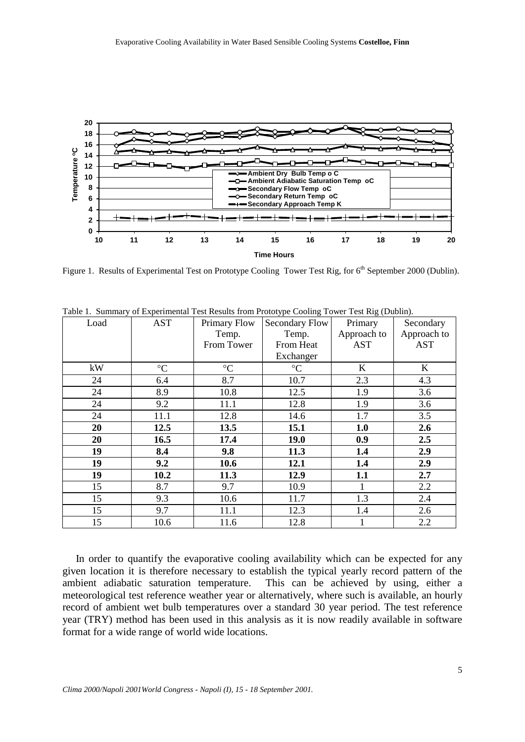

Figure 1. Results of Experimental Test on Prototype Cooling Tower Test Rig, for 6<sup>th</sup> September 2000 (Dublin).

| Load | <b>AST</b>      | Primary Flow    | <b>Secondary Flow</b> | Primary     | Secondary   |  |
|------|-----------------|-----------------|-----------------------|-------------|-------------|--|
|      |                 | Temp.           | Temp.                 | Approach to | Approach to |  |
|      |                 | From Tower      | From Heat             | <b>AST</b>  | <b>AST</b>  |  |
|      |                 |                 | Exchanger             |             |             |  |
| kW   | $\rm ^{\circ}C$ | $\rm ^{\circ}C$ | $\rm ^{\circ}C$       | $\bf K$     | K           |  |
| 24   | 6.4             | 8.7             | 10.7                  | 2.3         | 4.3         |  |
| 24   | 8.9             | 10.8            | 12.5                  | 1.9         | 3.6         |  |
| 24   | 9.2             | 11.1            | 12.8                  | 1.9         | 3.6         |  |
| 24   | 11.1            | 12.8            | 14.6                  | 1.7         | 3.5         |  |
| 20   | 12.5            | 13.5            | 15.1                  | 1.0         | 2.6         |  |
| 20   | 16.5            | 17.4            | <b>19.0</b>           | 0.9         | 2.5         |  |
| 19   | 8.4             | 9.8             | 11.3                  | 1.4         | 2.9         |  |
| 19   | 9.2             | 10.6            | 12.1                  | 1.4         | 2.9         |  |
| 19   | 10.2            | 11.3            | 12.9                  | 1.1         | 2.7         |  |
| 15   | 8.7             | 9.7             | 10.9                  |             | 2.2         |  |
| 15   | 9.3             | 10.6            | 11.7                  | 1.3         | 2.4         |  |
| 15   | 9.7             | 11.1            | 12.3                  | 1.4         | 2.6         |  |
| 15   | 10.6            | 11.6            | 12.8                  |             | 2.2         |  |

Table 1. Summary of Experimental Test Results from Prototype Cooling Tower Test Rig (Dublin).

 In order to quantify the evaporative cooling availability which can be expected for any given location it is therefore necessary to establish the typical yearly record pattern of the ambient adiabatic saturation temperature. This can be achieved by using, either a meteorological test reference weather year or alternatively, where such is available, an hourly record of ambient wet bulb temperatures over a standard 30 year period. The test reference year (TRY) method has been used in this analysis as it is now readily available in software format for a wide range of world wide locations.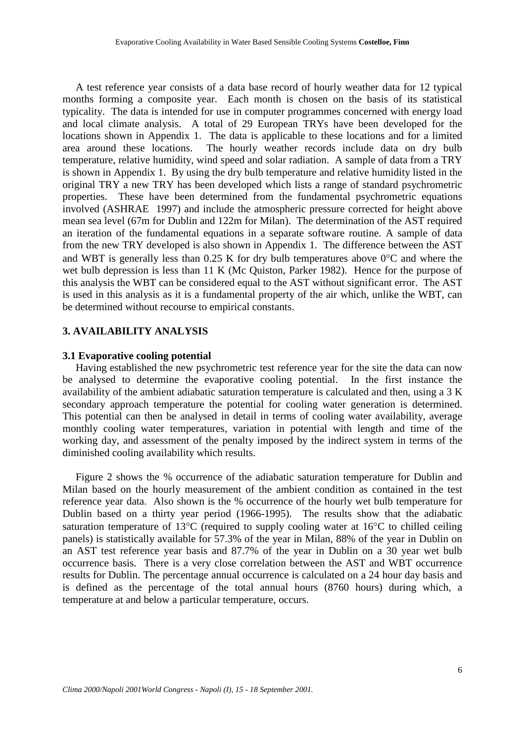A test reference year consists of a data base record of hourly weather data for 12 typical months forming a composite year. Each month is chosen on the basis of its statistical typicality. The data is intended for use in computer programmes concerned with energy load and local climate analysis. A total of 29 European TRYs have been developed for the locations shown in Appendix 1. The data is applicable to these locations and for a limited area around these locations. The hourly weather records include data on dry bulb temperature, relative humidity, wind speed and solar radiation. A sample of data from a TRY is shown in Appendix 1. By using the dry bulb temperature and relative humidity listed in the original TRY a new TRY has been developed which lists a range of standard psychrometric properties. These have been determined from the fundamental psychrometric equations involved (ASHRAE 1997) and include the atmospheric pressure corrected for height above mean sea level (67m for Dublin and 122m for Milan). The determination of the AST required an iteration of the fundamental equations in a separate software routine. A sample of data from the new TRY developed is also shown in Appendix 1. The difference between the AST and WBT is generally less than 0.25 K for dry bulb temperatures above 0°C and where the wet bulb depression is less than 11 K (Mc Quiston, Parker 1982). Hence for the purpose of this analysis the WBT can be considered equal to the AST without significant error. The AST is used in this analysis as it is a fundamental property of the air which, unlike the WBT, can be determined without recourse to empirical constants.

## **3. AVAILABILITY ANALYSIS**

#### **3.1 Evaporative cooling potential**

 Having established the new psychrometric test reference year for the site the data can now be analysed to determine the evaporative cooling potential. In the first instance the availability of the ambient adiabatic saturation temperature is calculated and then, using a 3 K secondary approach temperature the potential for cooling water generation is determined. This potential can then be analysed in detail in terms of cooling water availability, average monthly cooling water temperatures, variation in potential with length and time of the working day, and assessment of the penalty imposed by the indirect system in terms of the diminished cooling availability which results.

 Figure 2 shows the % occurrence of the adiabatic saturation temperature for Dublin and Milan based on the hourly measurement of the ambient condition as contained in the test reference year data. Also shown is the % occurrence of the hourly wet bulb temperature for Dublin based on a thirty year period (1966-1995). The results show that the adiabatic saturation temperature of 13°C (required to supply cooling water at 16°C to chilled ceiling panels) is statistically available for 57.3% of the year in Milan, 88% of the year in Dublin on an AST test reference year basis and 87.7% of the year in Dublin on a 30 year wet bulb occurrence basis. There is a very close correlation between the AST and WBT occurrence results for Dublin. The percentage annual occurrence is calculated on a 24 hour day basis and is defined as the percentage of the total annual hours (8760 hours) during which, a temperature at and below a particular temperature, occurs.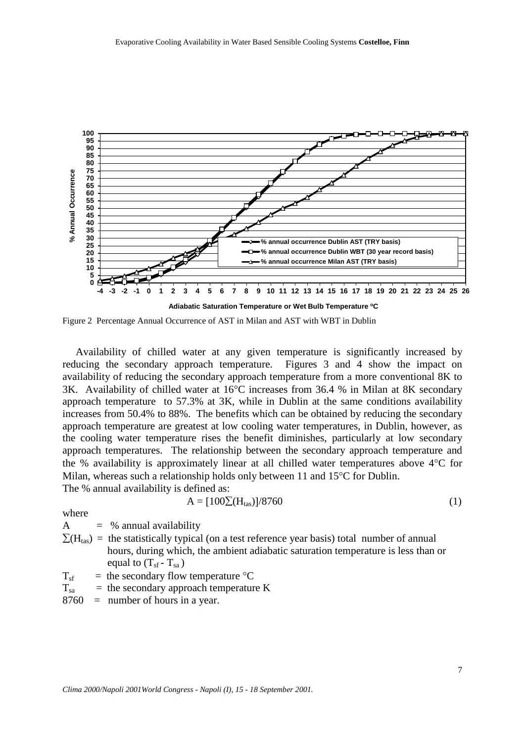

Figure 2 Percentage Annual Occurrence of AST in Milan and AST with WBT in Dublin

 Availability of chilled water at any given temperature is significantly increased by reducing the secondary approach temperature. Figures 3 and 4 show the impact on availability of reducing the secondary approach temperature from a more conventional 8K to 3K. Availability of chilled water at 16°C increases from 36.4 % in Milan at 8K secondary approach temperature to 57.3% at 3K, while in Dublin at the same conditions availability increases from 50.4% to 88%. The benefits which can be obtained by reducing the secondary approach temperature are greatest at low cooling water temperatures, in Dublin, however, as the cooling water temperature rises the benefit diminishes, particularly at low secondary approach temperatures. The relationship between the secondary approach temperature and the % availability is approximately linear at all chilled water temperatures above 4°C for Milan, whereas such a relationship holds only between 11 and 15°C for Dublin.

The % annual availability is defined as:

$$
A = [100\Sigma(H_{\text{tas}})]/8760
$$
 (1)

where

 $A = %$  annual availability

 $\Sigma(H<sub>tas</sub>)$  = the statistically typical (on a test reference year basis) total number of annual hours, during which, the ambient adiabatic saturation temperature is less than or equal to  $(T_{sf} - T_{sa})$ 

 $T_{\rm sf}$  = the secondary flow temperature °C

 $T_{sa}$  = the secondary approach temperature K

8760 = number of hours in a year.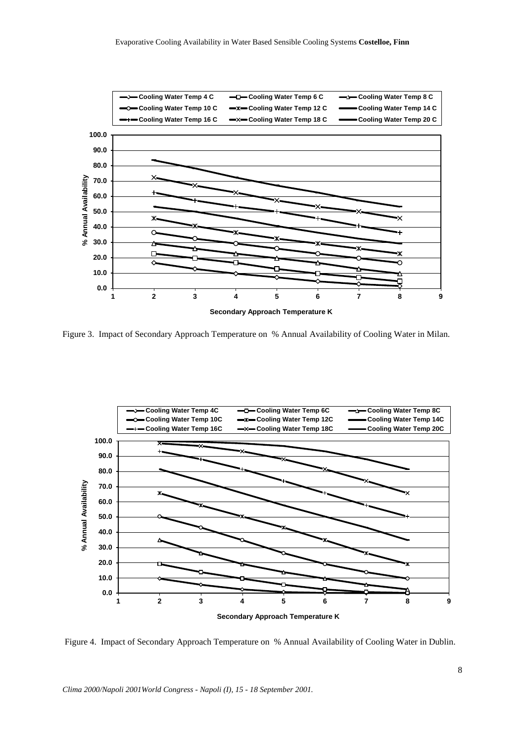

Figure 3. Impact of Secondary Approach Temperature on % Annual Availability of Cooling Water in Milan.



Figure 4. Impact of Secondary Approach Temperature on % Annual Availability of Cooling Water in Dublin.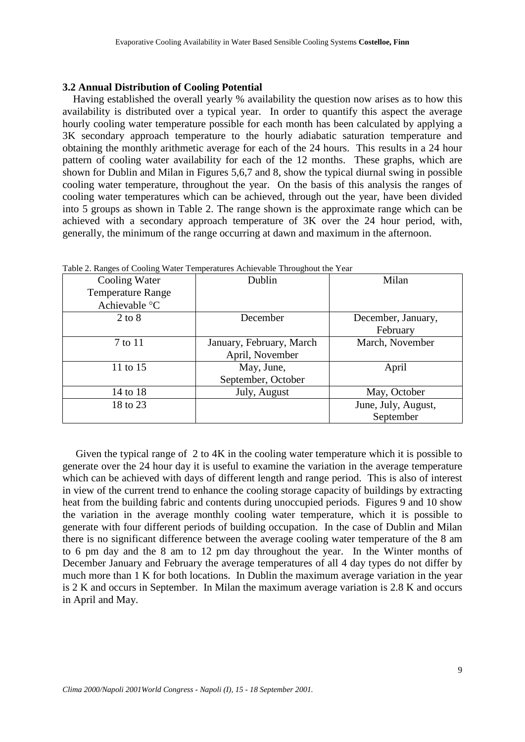#### **3.2 Annual Distribution of Cooling Potential**

 Having established the overall yearly % availability the question now arises as to how this availability is distributed over a typical year. In order to quantify this aspect the average hourly cooling water temperature possible for each month has been calculated by applying a 3K secondary approach temperature to the hourly adiabatic saturation temperature and obtaining the monthly arithmetic average for each of the 24 hours. This results in a 24 hour pattern of cooling water availability for each of the 12 months. These graphs, which are shown for Dublin and Milan in Figures 5,6,7 and 8, show the typical diurnal swing in possible cooling water temperature, throughout the year. On the basis of this analysis the ranges of cooling water temperatures which can be achieved, through out the year, have been divided into 5 groups as shown in Table 2. The range shown is the approximate range which can be achieved with a secondary approach temperature of 3K over the 24 hour period, with, generally, the minimum of the range occurring at dawn and maximum in the afternoon.

| Cooling Water            | Dublin                   | Milan               |
|--------------------------|--------------------------|---------------------|
| <b>Temperature Range</b> |                          |                     |
| Achievable °C            |                          |                     |
| $2$ to $8$               | December                 | December, January,  |
|                          |                          | February            |
| 7 to 11                  | January, February, March | March, November     |
|                          | April, November          |                     |
| 11 to 15                 | May, June,               | April               |
|                          | September, October       |                     |
| 14 to 18                 | July, August             | May, October        |
| 18 to 23                 |                          | June, July, August, |
|                          |                          | September           |

Table 2. Ranges of Cooling Water Temperatures Achievable Throughout the Year

 Given the typical range of 2 to 4K in the cooling water temperature which it is possible to generate over the 24 hour day it is useful to examine the variation in the average temperature which can be achieved with days of different length and range period. This is also of interest in view of the current trend to enhance the cooling storage capacity of buildings by extracting heat from the building fabric and contents during unoccupied periods. Figures 9 and 10 show the variation in the average monthly cooling water temperature, which it is possible to generate with four different periods of building occupation. In the case of Dublin and Milan there is no significant difference between the average cooling water temperature of the 8 am to 6 pm day and the 8 am to 12 pm day throughout the year. In the Winter months of December January and February the average temperatures of all 4 day types do not differ by much more than 1 K for both locations. In Dublin the maximum average variation in the year is 2 K and occurs in September. In Milan the maximum average variation is 2.8 K and occurs in April and May.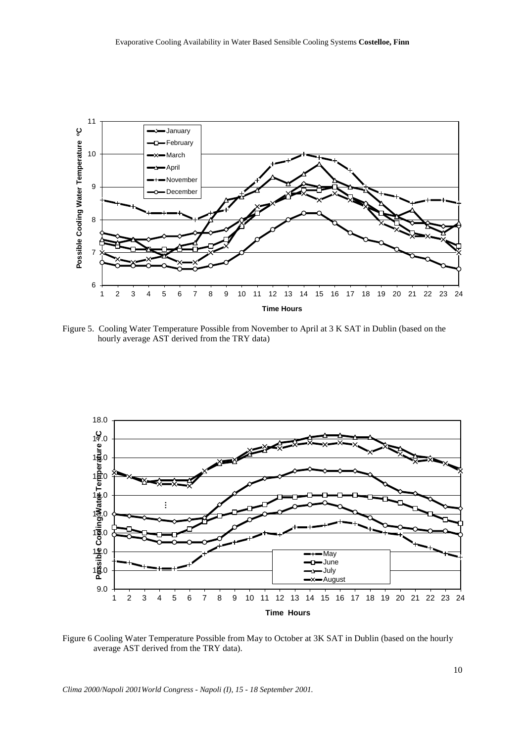

Figure 5. Cooling Water Temperature Possible from November to April at 3 K SAT in Dublin (based on the hourly average AST derived from the TRY data)



Figure 6 Cooling Water Temperature Possible from May to October at 3K SAT in Dublin (based on the hourly average AST derived from the TRY data).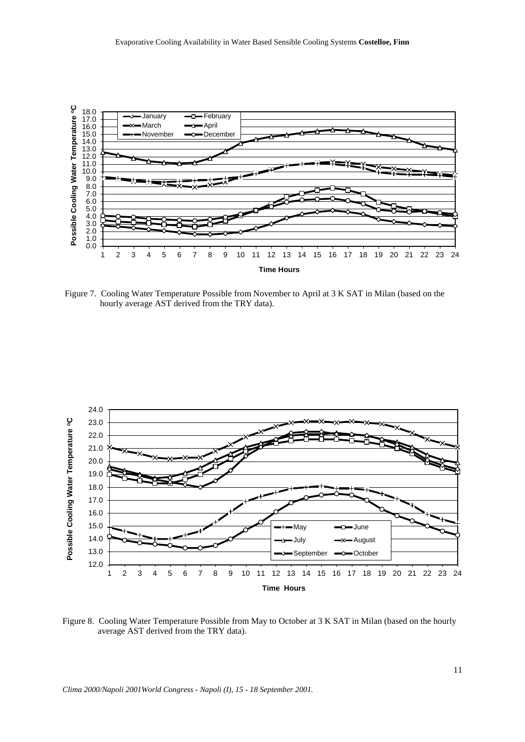

Figure 7. Cooling Water Temperature Possible from November to April at 3 K SAT in Milan (based on the hourly average AST derived from the TRY data).



Figure 8. Cooling Water Temperature Possible from May to October at 3 K SAT in Milan (based on the hourly average AST derived from the TRY data).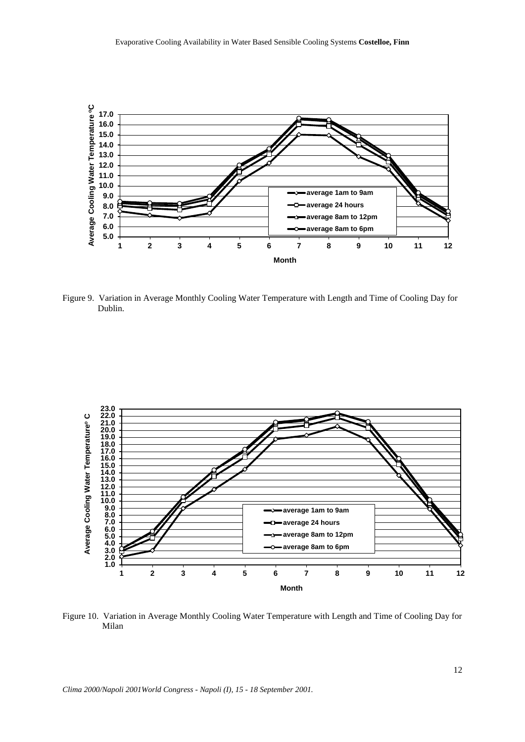

Figure 9. Variation in Average Monthly Cooling Water Temperature with Length and Time of Cooling Day for Dublin.



Figure 10. Variation in Average Monthly Cooling Water Temperature with Length and Time of Cooling Day for Milan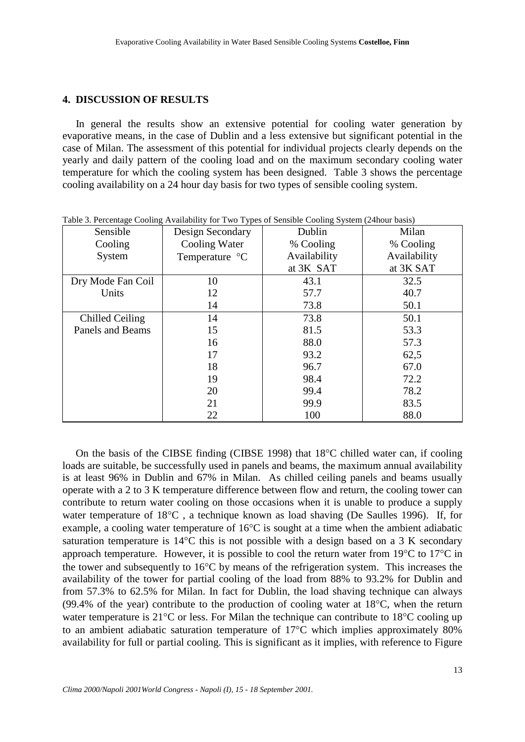# **4. DISCUSSION OF RESULTS**

 In general the results show an extensive potential for cooling water generation by evaporative means, in the case of Dublin and a less extensive but significant potential in the case of Milan. The assessment of this potential for individual projects clearly depends on the yearly and daily pattern of the cooling load and on the maximum secondary cooling water temperature for which the cooling system has been designed. Table 3 shows the percentage cooling availability on a 24 hour day basis for two types of sensible cooling system.

| Sensible          | Design Secondary | Dublin       | Milan        |  |
|-------------------|------------------|--------------|--------------|--|
| Cooling           | Cooling Water    | % Cooling    | % Cooling    |  |
| System            | Temperature °C   | Availability | Availability |  |
|                   |                  | at 3K SAT    | at 3K SAT    |  |
| Dry Mode Fan Coil | 10               | 43.1         | 32.5         |  |
| Units             | 12               | 57.7         | 40.7         |  |
|                   | 14               | 73.8         | 50.1         |  |
| Chilled Ceiling   | 14               | 73.8         | 50.1         |  |
| Panels and Beams  | 15               | 81.5         | 53.3         |  |
|                   | 16               | 88.0         | 57.3         |  |
|                   | 17               | 93.2         | 62,5         |  |
|                   | 18               | 96.7         | 67.0         |  |
|                   | 19               | 98.4         | 72.2         |  |
|                   | 20               | 99.4         | 78.2         |  |
|                   | 21               | 99.9         | 83.5         |  |
|                   | 22               | 100          | 88.0         |  |

Table 3. Percentage Cooling Availability for Two Types of Sensible Cooling System (24hour basis)

On the basis of the CIBSE finding (CIBSE 1998) that  $18^{\circ}$ C chilled water can, if cooling loads are suitable, be successfully used in panels and beams, the maximum annual availability is at least 96% in Dublin and 67% in Milan. As chilled ceiling panels and beams usually operate with a 2 to 3 K temperature difference between flow and return, the cooling tower can contribute to return water cooling on those occasions when it is unable to produce a supply water temperature of 18°C , a technique known as load shaving (De Saulles 1996). If, for example, a cooling water temperature of 16°C is sought at a time when the ambient adiabatic saturation temperature is 14°C this is not possible with a design based on a 3 K secondary approach temperature. However, it is possible to cool the return water from 19°C to 17°C in the tower and subsequently to 16°C by means of the refrigeration system. This increases the availability of the tower for partial cooling of the load from 88% to 93.2% for Dublin and from 57.3% to 62.5% for Milan. In fact for Dublin, the load shaving technique can always (99.4% of the year) contribute to the production of cooling water at 18°C, when the return water temperature is 21<sup>o</sup>C or less. For Milan the technique can contribute to 18<sup>o</sup>C cooling up to an ambient adiabatic saturation temperature of 17°C which implies approximately 80% availability for full or partial cooling. This is significant as it implies, with reference to Figure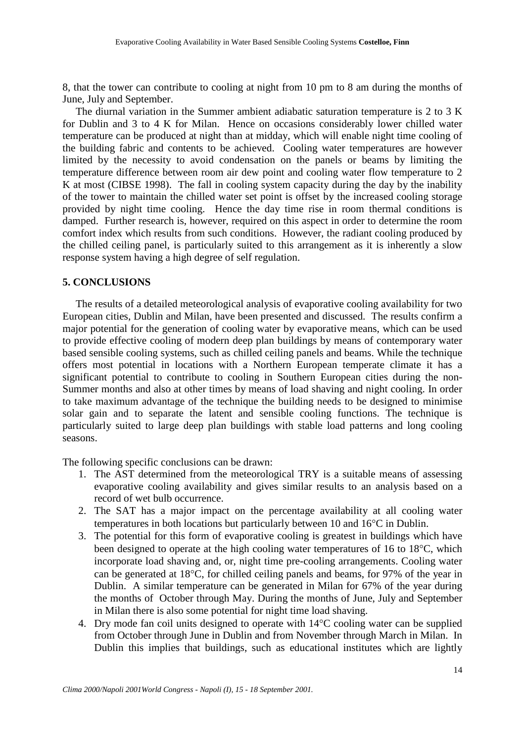8, that the tower can contribute to cooling at night from 10 pm to 8 am during the months of June, July and September.

 The diurnal variation in the Summer ambient adiabatic saturation temperature is 2 to 3 K for Dublin and 3 to 4 K for Milan. Hence on occasions considerably lower chilled water temperature can be produced at night than at midday, which will enable night time cooling of the building fabric and contents to be achieved. Cooling water temperatures are however limited by the necessity to avoid condensation on the panels or beams by limiting the temperature difference between room air dew point and cooling water flow temperature to 2 K at most (CIBSE 1998). The fall in cooling system capacity during the day by the inability of the tower to maintain the chilled water set point is offset by the increased cooling storage provided by night time cooling. Hence the day time rise in room thermal conditions is damped. Further research is, however, required on this aspect in order to determine the room comfort index which results from such conditions. However, the radiant cooling produced by the chilled ceiling panel, is particularly suited to this arrangement as it is inherently a slow response system having a high degree of self regulation.

#### **5. CONCLUSIONS**

 The results of a detailed meteorological analysis of evaporative cooling availability for two European cities, Dublin and Milan, have been presented and discussed. The results confirm a major potential for the generation of cooling water by evaporative means, which can be used to provide effective cooling of modern deep plan buildings by means of contemporary water based sensible cooling systems, such as chilled ceiling panels and beams. While the technique offers most potential in locations with a Northern European temperate climate it has a significant potential to contribute to cooling in Southern European cities during the non-Summer months and also at other times by means of load shaving and night cooling. In order to take maximum advantage of the technique the building needs to be designed to minimise solar gain and to separate the latent and sensible cooling functions. The technique is particularly suited to large deep plan buildings with stable load patterns and long cooling seasons.

The following specific conclusions can be drawn:

- 1. The AST determined from the meteorological TRY is a suitable means of assessing evaporative cooling availability and gives similar results to an analysis based on a record of wet bulb occurrence.
- 2. The SAT has a major impact on the percentage availability at all cooling water temperatures in both locations but particularly between 10 and 16°C in Dublin.
- 3. The potential for this form of evaporative cooling is greatest in buildings which have been designed to operate at the high cooling water temperatures of 16 to 18°C, which incorporate load shaving and, or, night time pre-cooling arrangements. Cooling water can be generated at 18°C, for chilled ceiling panels and beams, for 97% of the year in Dublin. A similar temperature can be generated in Milan for 67% of the year during the months of October through May. During the months of June, July and September in Milan there is also some potential for night time load shaving.
- 4. Dry mode fan coil units designed to operate with 14°C cooling water can be supplied from October through June in Dublin and from November through March in Milan. In Dublin this implies that buildings, such as educational institutes which are lightly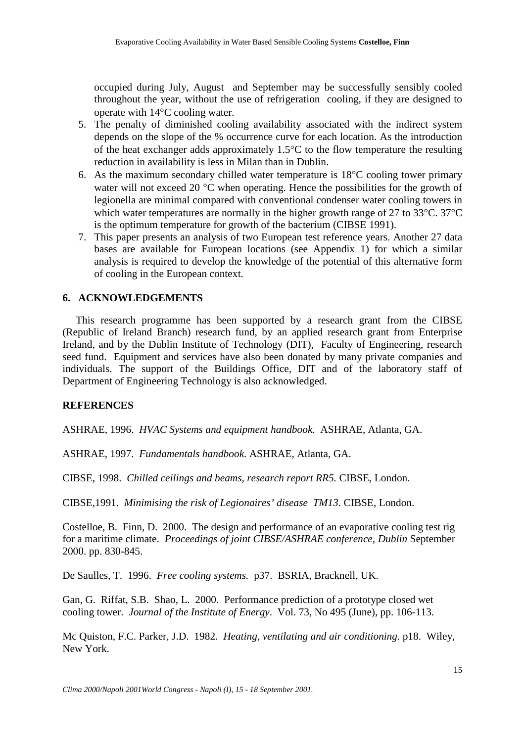occupied during July, August and September may be successfully sensibly cooled throughout the year, without the use of refrigeration cooling, if they are designed to operate with 14°C cooling water.

- 5. The penalty of diminished cooling availability associated with the indirect system depends on the slope of the % occurrence curve for each location. As the introduction of the heat exchanger adds approximately  $1.5^{\circ}$ C to the flow temperature the resulting reduction in availability is less in Milan than in Dublin.
- 6. As the maximum secondary chilled water temperature is  $18^{\circ}$ C cooling tower primary water will not exceed 20 °C when operating. Hence the possibilities for the growth of legionella are minimal compared with conventional condenser water cooling towers in which water temperatures are normally in the higher growth range of 27 to 33°C. 37°C is the optimum temperature for growth of the bacterium (CIBSE 1991).
- 7. This paper presents an analysis of two European test reference years. Another 27 data bases are available for European locations (see Appendix 1) for which a similar analysis is required to develop the knowledge of the potential of this alternative form of cooling in the European context.

## **6. ACKNOWLEDGEMENTS**

 This research programme has been supported by a research grant from the CIBSE (Republic of Ireland Branch) research fund, by an applied research grant from Enterprise Ireland, and by the Dublin Institute of Technology (DIT), Faculty of Engineering, research seed fund. Equipment and services have also been donated by many private companies and individuals. The support of the Buildings Office, DIT and of the laboratory staff of Department of Engineering Technology is also acknowledged.

#### **REFERENCES**

ASHRAE, 1996. *HVAC Systems and equipment handbook.* ASHRAE, Atlanta, GA.

ASHRAE, 1997. *Fundamentals handbook*. ASHRAE, Atlanta, GA.

CIBSE, 1998. *Chilled ceilings and beams, research report RR5.* CIBSE, London.

CIBSE,1991. *Minimising the risk of Legionaires' disease TM13*. CIBSE, London.

Costelloe, B. Finn, D. 2000. The design and performance of an evaporative cooling test rig for a maritime climate. *Proceedings of joint CIBSE/ASHRAE conference, Dublin* September 2000. pp. 830-845.

De Saulles, T. 1996. *Free cooling systems.* p37. BSRIA, Bracknell, UK.

Gan, G. Riffat, S.B. Shao, L. 2000. Performance prediction of a prototype closed wet cooling tower. *Journal of the Institute of Energy*. Vol. 73, No 495 (June), pp. 106-113.

Mc Quiston, F.C. Parker, J.D. 1982. *Heating, ventilating and air conditioning.* p18. Wiley, New York.